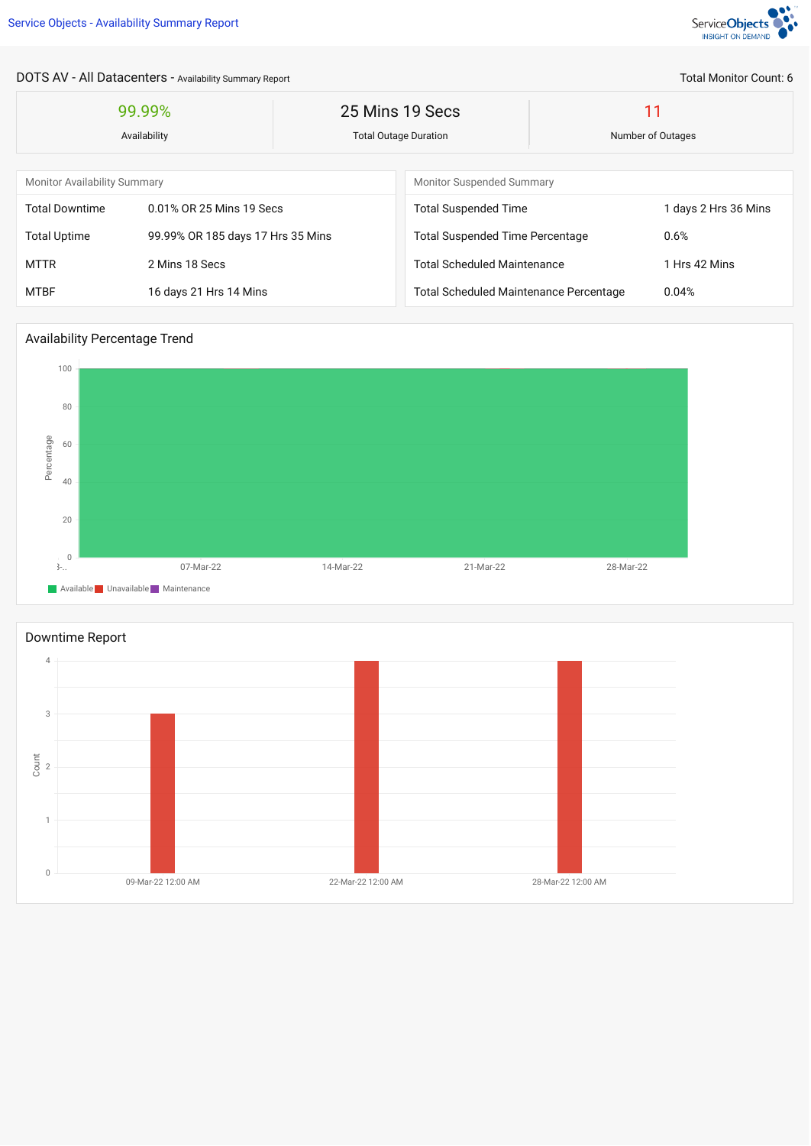

Total Monitor Count: 6

DOTS AV - All Datacenters - Availability Summary Report

| 99.99%<br>Availability              |                                   | 25 Mins 19 Secs<br><b>Total Outage Duration</b> |                                               | 11<br>Number of Outages |                      |  |
|-------------------------------------|-----------------------------------|-------------------------------------------------|-----------------------------------------------|-------------------------|----------------------|--|
|                                     |                                   |                                                 |                                               |                         |                      |  |
| <b>Monitor Availability Summary</b> |                                   |                                                 | <b>Monitor Suspended Summary</b>              |                         |                      |  |
| <b>Total Downtime</b>               | 0.01% OR 25 Mins 19 Secs          |                                                 | <b>Total Suspended Time</b>                   |                         | 1 days 2 Hrs 36 Mins |  |
| <b>Total Uptime</b>                 | 99.99% OR 185 days 17 Hrs 35 Mins |                                                 | <b>Total Suspended Time Percentage</b>        | 0.6%                    |                      |  |
| <b>MTTR</b>                         | 2 Mins 18 Secs                    |                                                 | <b>Total Scheduled Maintenance</b>            |                         | 1 Hrs 42 Mins        |  |
| <b>MTBF</b>                         | 16 days 21 Hrs 14 Mins            |                                                 | <b>Total Scheduled Maintenance Percentage</b> | 0.04%                   |                      |  |

## Availability Percentage Trend